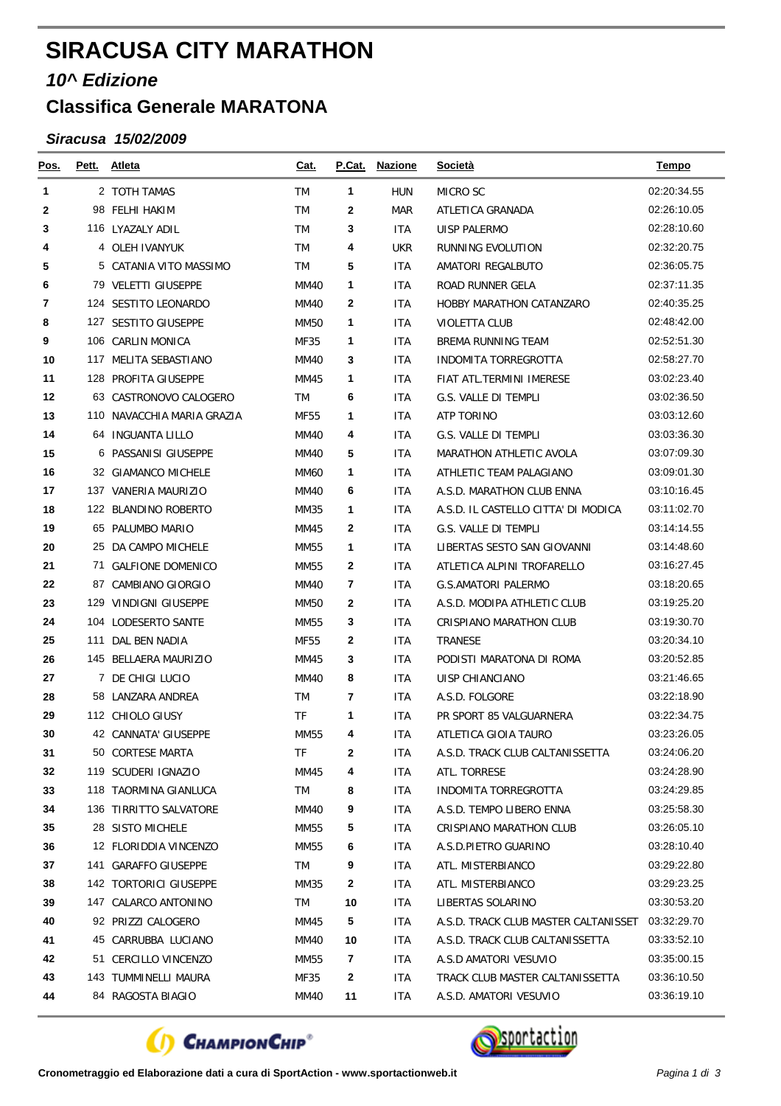## **SIRACUSA CITY MARATHON**

## *10^ Edizione*

## **Classifica Generale MARATONA**

## *Siracusa 15/02/2009*

| <u>Pos.</u> |     | Pett. Atleta               | <u>Cat.</u> | <b>P.Cat.</b> | <u>Nazione</u> | Società                              | <b>Tempo</b> |
|-------------|-----|----------------------------|-------------|---------------|----------------|--------------------------------------|--------------|
| 1           |     | 2 TOTH TAMAS               | TM          | 1             | <b>HUN</b>     | MICRO SC                             | 02:20:34.55  |
| 2           |     | 98 FELHI HAKIM             | TM          | 2             | MAR            | ATLETICA GRANADA                     | 02:26:10.05  |
| 3           |     | 116 LYAZALY ADIL           | TM          | 3             | <b>ITA</b>     | <b>UISP PALERMO</b>                  | 02:28:10.60  |
| 4           |     | 4 OLEH IVANYUK             | TM          | 4             | <b>UKR</b>     | RUNNING EVOLUTION                    | 02:32:20.75  |
| 5           |     | 5 CATANIA VITO MASSIMO     | TM          | 5             | <b>ITA</b>     | AMATORI REGALBUTO                    | 02:36:05.75  |
| 6           |     | 79 VELETTI GIUSEPPE        | <b>MM40</b> | 1             | ITA            | ROAD RUNNER GELA                     | 02:37:11.35  |
| 7           |     | 124 SESTITO LEONARDO       | MM40        | 2             | <b>ITA</b>     | <b>HOBBY MARATHON CATANZARO</b>      | 02:40:35.25  |
| 8           |     | 127 SESTITO GIUSEPPE       | <b>MM50</b> | 1             | <b>ITA</b>     | <b>VIOLETTA CLUB</b>                 | 02:48:42.00  |
| 9           |     | 106 CARLIN MONICA          | MF35        | 1             | <b>ITA</b>     | BREMA RUNNING TEAM                   | 02:52:51.30  |
| 10          |     | 117 MELITA SEBASTIANO      | MM40        | 3             | <b>ITA</b>     | INDOMITA TORREGROTTA                 | 02:58:27.70  |
| 11          |     | 128 PROFITA GIUSEPPE       | MM45        | 1             | <b>ITA</b>     | FIAT ATL.TERMINI IMERESE             | 03:02:23.40  |
| 12          |     | 63 CASTRONOVO CALOGERO     | TM          | 6             | <b>ITA</b>     | G.S. VALLE DI TEMPLI                 | 03:02:36.50  |
| 13          |     | 110 NAVACCHIA MARIA GRAZIA | <b>MF55</b> | 1             | <b>ITA</b>     | <b>ATP TORINO</b>                    | 03:03:12.60  |
| 14          |     | 64 INGUANTA LILLO          | MM40        | 4             | <b>ITA</b>     | G.S. VALLE DI TEMPLI                 | 03:03:36.30  |
| 15          |     | 6 PASSANISI GIUSEPPE       | MM40        | 5             | <b>ITA</b>     | MARATHON ATHLETIC AVOLA              | 03:07:09.30  |
| 16          |     | 32 GIAMANCO MICHELE        | <b>MM60</b> | 1             | <b>ITA</b>     | ATHLETIC TEAM PALAGIANO              | 03:09:01.30  |
| 17          |     | 137 VANERIA MAURIZIO       | <b>MM40</b> | 6             | <b>ITA</b>     | A.S.D. MARATHON CLUB ENNA            | 03:10:16.45  |
| 18          |     | 122 BLANDINO ROBERTO       | <b>MM35</b> | 1             | <b>ITA</b>     | A.S.D. IL CASTELLO CITTA' DI MODICA  | 03:11:02.70  |
| 19          |     | 65 PALUMBO MARIO           | MM45        | 2             | <b>ITA</b>     | G.S. VALLE DI TEMPLI                 | 03:14:14.55  |
| 20          |     | 25 DA CAMPO MICHELE        | MM55        | 1             | <b>ITA</b>     | LIBERTAS SESTO SAN GIOVANNI          | 03:14:48.60  |
| 21          |     | 71 GALFIONE DOMENICO       | <b>MM55</b> | 2             | <b>ITA</b>     | ATLETICA ALPINI TROFARELLO           | 03:16:27.45  |
| 22          |     | 87 CAMBIANO GIORGIO        | <b>MM40</b> | 7             | <b>ITA</b>     | <b>G.S.AMATORI PALERMO</b>           | 03:18:20.65  |
| 23          |     | 129 VINDIGNI GIUSEPPE      | MM50        | 2             | <b>ITA</b>     | A.S.D. MODIPA ATHLETIC CLUB          | 03:19:25.20  |
| 24          |     | 104 LODESERTO SANTE        | <b>MM55</b> | 3             | <b>ITA</b>     | CRISPIANO MARATHON CLUB              | 03:19:30.70  |
| 25          | 111 | DAL BEN NADIA              | MF55        | 2             | <b>ITA</b>     | TRANESE                              | 03:20:34.10  |
| 26          |     | 145 BELLAERA MAURIZIO      | MM45        | 3             | <b>ITA</b>     | PODISTI MARATONA DI ROMA             | 03:20:52.85  |
| 27          |     | 7 DE CHIGI LUCIO           | <b>MM40</b> | 8             | <b>ITA</b>     | UISP CHIANCIANO                      | 03:21:46.65  |
| 28          |     | 58 LANZARA ANDREA          | <b>TM</b>   | 7             | <b>ITA</b>     | A.S.D. FOLGORE                       | 03:22:18.90  |
| 29          |     | 112 CHIOLO GIUSY           | <b>TF</b>   | 1             | ITA            | PR SPORT 85 VALGUARNERA              | 03:22:34.75  |
| 30          |     | 42 CANNATA' GIUSEPPE       | <b>MM55</b> | 4             | <b>ITA</b>     | ATLETICA GIOIA TAURO                 | 03:23:26.05  |
| 31          |     | 50 CORTESE MARTA           | TF          | 2             | <b>ITA</b>     | A.S.D. TRACK CLUB CALTANISSETTA      | 03:24:06.20  |
| 32          |     | 119 SCUDERI IGNAZIO        | MM45        | 4             | ITA            | ATL. TORRESE                         | 03:24:28.90  |
| 33          |     | 118 TAORMINA GIANLUCA      | TM          | 8             | ITA            | <b>INDOMITA TORREGROTTA</b>          | 03:24:29.85  |
| 34          |     | 136 TIRRITTO SALVATORE     | MM40        | 9             | ITA.           | A.S.D. TEMPO LIBERO ENNA             | 03:25:58.30  |
| 35          |     | 28 SISTO MICHELE           | MM55        | 5             | ITA.           | CRISPIANO MARATHON CLUB              | 03:26:05.10  |
| 36          |     | 12 FLORIDDIA VINCENZO      | MM55        | 6             | ITA.           | A.S.D.PIETRO GUARINO                 | 03:28:10.40  |
| 37          |     | 141 GARAFFO GIUSEPPE       | TM          | 9             | <b>ITA</b>     | ATL. MISTERBIANCO                    | 03:29:22.80  |
| 38          |     | 142 TORTORICI GIUSEPPE     | MM35        | 2             | ITA.           | ATL. MISTERBIANCO                    | 03:29:23.25  |
| 39          |     | 147 CALARCO ANTONINO       | TM          | 10            | ITA            | LIBERTAS SOLARINO                    | 03:30:53.20  |
| 40          |     | 92 PRIZZI CALOGERO         | MM45        | 5             | ITA            | A.S.D. TRACK CLUB MASTER CALTANISSET | 03:32:29.70  |
| 41          |     | 45 CARRUBBA LUCIANO        | MM40        | 10            | ITA.           | A.S.D. TRACK CLUB CALTANISSETTA      | 03:33:52.10  |
| 42          |     | 51 CERCILLO VINCENZO       | MM55        | 7             | ITA.           | A.S.D AMATORI VESUVIO                | 03:35:00.15  |
| 43          |     | 143 TUMMINELLI MAURA       | MF35        | 2             | ITA            | TRACK CLUB MASTER CALTANISSETTA      | 03:36:10.50  |
| 44          |     | 84 RAGOSTA BIAGIO          | MM40        | 11            | ITA            | A.S.D. AMATORI VESUVIO               | 03:36:19.10  |



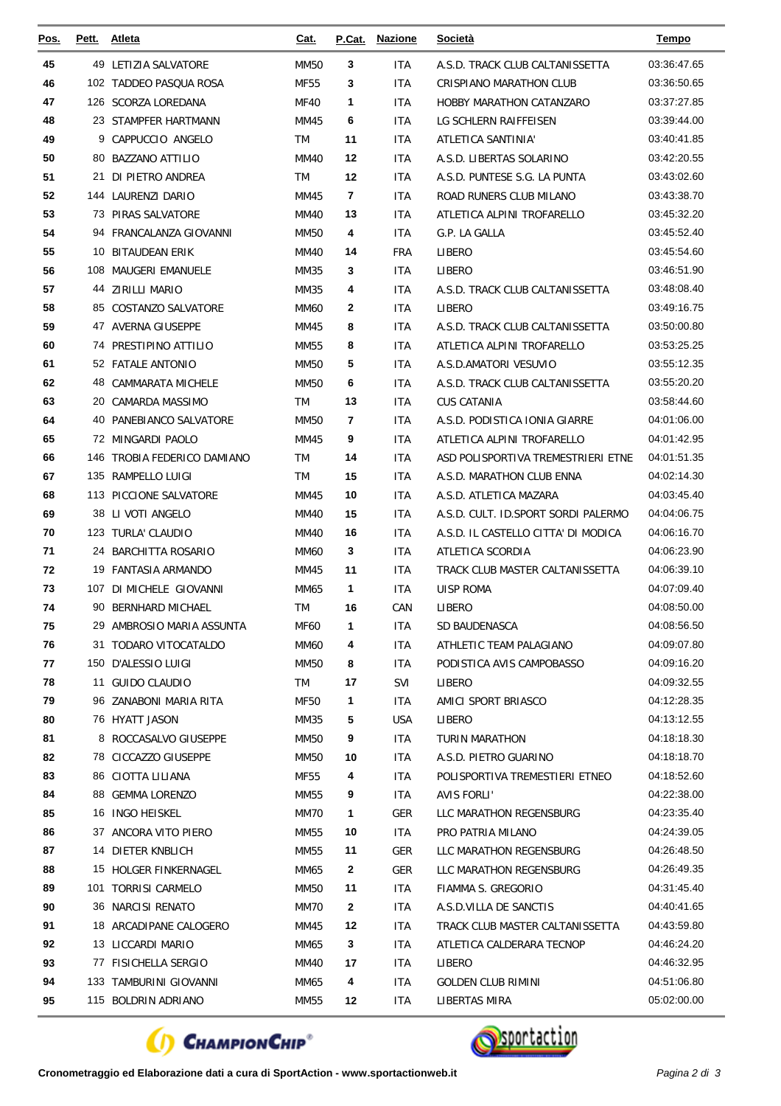| <u>Pos.</u> | Pett. | <b>Atleta</b>                                  | Cat.              | P.Cat.       | <b>Nazione</b>    | <b>Società</b>                      | Tempo                      |
|-------------|-------|------------------------------------------------|-------------------|--------------|-------------------|-------------------------------------|----------------------------|
| 45          |       | 49 LETIZIA SALVATORE                           | <b>MM50</b>       | 3            | ITA               | A.S.D. TRACK CLUB CALTANISSETTA     | 03:36:47.65                |
| 46          |       | 102 TADDEO PASQUA ROSA                         | <b>MF55</b>       | 3            | ITA               | <b>CRISPIANO MARATHON CLUB</b>      | 03:36:50.65                |
| 47          |       | 126 SCORZA LOREDANA                            | <b>MF40</b>       | 1            | ITA               | <b>HOBBY MARATHON CATANZARO</b>     | 03:37:27.85                |
| 48          |       | 23 STAMPFER HARTMANN                           | MM45              | 6            | <b>ITA</b>        | LG SCHLERN RAIFFEISEN               | 03:39:44.00                |
| 49          | 9     | CAPPUCCIO ANGELO                               | TM                | 11           | <b>ITA</b>        | ATLETICA SANTINIA'                  | 03:40:41.85                |
| 50          |       | 80 BAZZANO ATTILIO                             | <b>MM40</b>       | 12           | ITA               | A.S.D. LIBERTAS SOLARINO            | 03:42:20.55                |
| 51          |       | 21 DI PIETRO ANDREA                            | <b>TM</b>         | 12           | ITA               | A.S.D. PUNTESE S.G. LA PUNTA        | 03:43:02.60                |
| 52          |       | 144 LAURENZI DARIO                             | MM45              | 7            | <b>ITA</b>        | ROAD RUNERS CLUB MILANO             | 03:43:38.70                |
| 53          |       | 73 PIRAS SALVATORE                             | MM40              | 13           | <b>ITA</b>        | ATLETICA ALPINI TROFARELLO          | 03:45:32.20                |
| 54          |       | 94 FRANCALANZA GIOVANNI                        | <b>MM50</b>       | 4            | ITA               | G.P. LA GALLA                       | 03:45:52.40                |
| 55          |       | 10 BITAUDEAN ERIK                              | MM40              | 14           | <b>FRA</b>        | LIBERO                              | 03:45:54.60                |
| 56          |       | 108 MAUGERI EMANUELE                           | MM35              | 3            | ITA               | LIBERO                              | 03:46:51.90                |
| 57          |       | 44 ZIRILLI MARIO                               | MM35              | 4            | <b>ITA</b>        | A.S.D. TRACK CLUB CALTANISSETTA     | 03:48:08.40                |
| 58          |       | 85 COSTANZO SALVATORE                          | MM60              | 2            | ITA               | LIBERO                              | 03:49:16.75                |
| 59          |       | 47 AVERNA GIUSEPPE                             | MM45              | 8            | ITA               | A.S.D. TRACK CLUB CALTANISSETTA     | 03:50:00.80                |
| 60          |       | 74 PRESTIPINO ATTILIO                          | MM55              | 8            | <b>ITA</b>        | ATLETICA ALPINI TROFARELLO          | 03:53:25.25                |
| 61          |       | 52 FATALE ANTONIO                              | <b>MM50</b>       | 5            | ITA               | A.S.D.AMATORI VESUVIO               | 03:55:12.35                |
| 62          |       | 48 CAMMARATA MICHELE                           | <b>MM50</b>       | 6            | ITA               | A.S.D. TRACK CLUB CALTANISSETTA     | 03:55:20.20                |
| 63          |       | 20 CAMARDA MASSIMO                             | TM                | 13           | ITA               | <b>CUS CATANIA</b>                  | 03:58:44.60                |
| 64          |       | 40 PANEBIANCO SALVATORE                        | <b>MM50</b>       | 7            | <b>ITA</b>        | A.S.D. PODISTICA IONIA GIARRE       | 04:01:06.00                |
| 65          |       | 72 MINGARDI PAOLO                              | MM45              | 9            | <b>ITA</b>        | ATLETICA ALPINI TROFARELLO          | 04:01:42.95                |
| 66          |       | 146 TROBIA FEDERICO DAMIANO                    | <b>TM</b>         | 14           | ITA               | ASD POLISPORTIVA TREMESTRIERI ETNE  | 04:01:51.35                |
| 67          |       | 135 RAMPELLO LUIGI                             | <b>TM</b>         | 15           | ITA               | A.S.D. MARATHON CLUB ENNA           | 04:02:14.30                |
| 68          |       | 113 PICCIONE SALVATORE                         | MM45              | 10           | ITA               | A.S.D. ATLETICA MAZARA              | 04:03:45.40                |
| 69          | 38    | LI VOTI ANGELO                                 | <b>MM40</b>       | 15           | ITA               | A.S.D. CULT. ID.SPORT SORDI PALERMO | 04:04:06.75                |
| 70          |       | 123 TURLA' CLAUDIO                             | MM40              | 16           | ITA               | A.S.D. IL CASTELLO CITTA' DI MODICA | 04:06:16.70                |
| 71          |       | 24 BARCHITTA ROSARIO                           | MM60              | 3            | ITA               | ATLETICA SCORDIA                    | 04:06:23.90                |
| 72          |       | 19 FANTASIA ARMANDO                            | MM45              | 11           | ITA               | TRACK CLUB MASTER CALTANISSETTA     | 04:06:39.10<br>04:07:09.40 |
| 73<br>74    |       | 107 DI MICHELE GIOVANNI<br>90 BERNHARD MICHAEL | MM65<br><b>TM</b> | 1<br>16      | <b>ITA</b><br>CAN | <b>UISP ROMA</b>                    | 04:08:50.00                |
| 75          |       | 29 AMBROSIO MARIA ASSUNTA                      | <b>MF60</b>       | 1            | <b>ITA</b>        | LIBERO<br>SD BAUDENASCA             | 04:08:56.50                |
| 76          |       | 31 TODARO VITOCATALDO                          | MM60              | 4            | ITA               | ATHLETIC TEAM PALAGIANO             | 04:09:07.80                |
| 77          |       | 150 D'ALESSIO LUIGI                            | <b>MM50</b>       | 8            | ITA               | PODISTICA AVIS CAMPOBASSO           | 04:09:16.20                |
| 78          |       | 11 GUIDO CLAUDIO                               | TM                | 17           | SVI               | <b>LIBERO</b>                       | 04:09:32.55                |
| 79          |       | 96 ZANABONI MARIA RITA                         | MF50              | 1            | ITA               | AMICI SPORT BRIASCO                 | 04:12:28.35                |
| 80          |       | 76 HYATT JASON                                 | MM35              | 5            | <b>USA</b>        | LIBERO                              | 04:13:12.55                |
| 81          |       | 8 ROCCASALVO GIUSEPPE                          | <b>MM50</b>       | 9            | <b>ITA</b>        | TURIN MARATHON                      | 04:18:18.30                |
| 82          |       | 78 CICCAZZO GIUSEPPE                           | MM50              | 10           | <b>ITA</b>        | A.S.D. PIETRO GUARINO               | 04:18:18.70                |
| 83          |       | 86 CIOTTA LILIANA                              | MF55              | 4            | ITA               | POLISPORTIVA TREMESTIERI ETNEO      | 04:18:52.60                |
| 84          |       | 88 GEMMA LORENZO                               | MM55              | 9            | ITA               | AVIS FORLI'                         | 04:22:38.00                |
| 85          |       | 16 INGO HEISKEL                                | MM70              | 1            | GER               | LLC MARATHON REGENSBURG             | 04:23:35.40                |
| 86          |       | 37 ANCORA VITO PIERO                           | MM55              | 10           | <b>ITA</b>        | PRO PATRIA MILANO                   | 04:24:39.05                |
| 87          |       | 14 DIETER KNBLICH                              | MM55              | 11           | GER               | LLC MARATHON REGENSBURG             | 04:26:48.50                |
| 88          |       | 15 HOLGER FINKERNAGEL                          | MM65              | $\mathbf{2}$ | GER               | LLC MARATHON REGENSBURG             | 04:26:49.35                |
| 89          |       | 101 TORRISI CARMELO                            | MM50              | 11           | ITA               | FIAMMA S. GREGORIO                  | 04:31:45.40                |
| 90          |       | 36 NARCISI RENATO                              | MM70              | $\mathbf{2}$ | ITA               | A.S.D.VILLA DE SANCTIS              | 04:40:41.65                |
| 91          |       | 18 ARCADIPANE CALOGERO                         | MM45              | 12           | ITA               | TRACK CLUB MASTER CALTANISSETTA     | 04:43:59.80                |
| 92          |       | 13 LICCARDI MARIO                              | MM65              | 3            | ITA               | ATLETICA CALDERARA TECNOP           | 04:46:24.20                |
| 93          |       | 77 FISICHELLA SERGIO                           | MM40              | 17           | <b>ITA</b>        | LIBERO                              | 04:46:32.95                |
| 94          |       | 133 TAMBURINI GIOVANNI                         | MM65              | 4            | ITA               | <b>GOLDEN CLUB RIMINI</b>           | 04:51:06.80                |
| 95          |       | 115 BOLDRIN ADRIANO                            | MM55              | 12           | ITA               | <b>LIBERTAS MIRA</b>                | 05:02:00.00                |